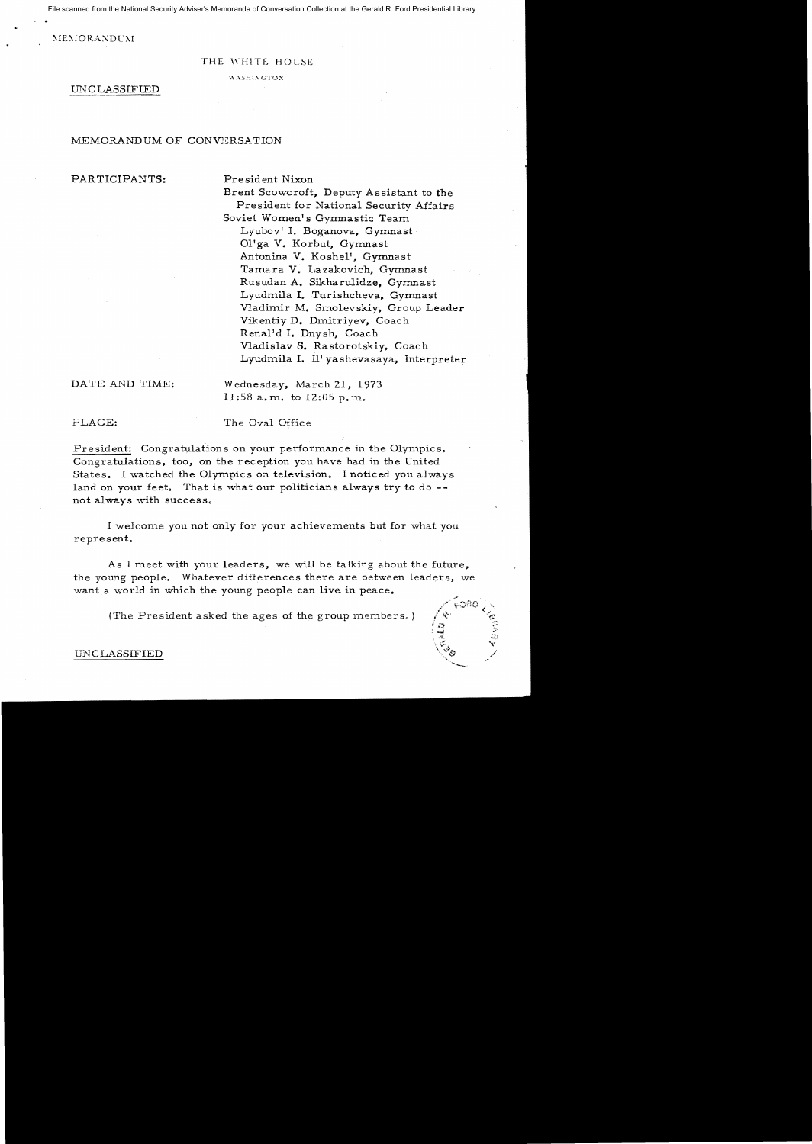File scanned from the National Security Adviser's Memoranda of Conversation Collection at the Gerald R. Ford Presidential Library

**MEMORANDUM** 

#### THE WHITE HOCSE

WASHINGTON.

UNCLASSIFIED

#### MEMORANDUM OF CONVERSATION

# PARTICIPANTS: President Nixon

Brent Scowcroft, Deputy Assistant to the President for National Security Affairs Soviet Women's Gymnastic Team Lyubov' 1. Boganova, Gymnast 01'ga V. Korbut. Gymnast Antonina V. Koshe1', Gymnast Tamara V. Lazakovich, Gymnast Rusudan A. Sikharulidze, Gymnast Lyudmila I. Turishcheva, Gymnast Vladimir M. Smo1evskiy. Group Leader Vikentiy D. Dmitriyev, Coach Rena1'd I. Dnysh, Coach Vladislav S. Rastorotskiy, Coach Lyudmila I. Il' yashevasaya. Interpreter

DATE AND TIME: Wednesday, March 21. 1973 11 :58 a. m. to 12:05 p. m.

PLACE: The Oval Office

President: Congratulations on your performance in the Olympics. Congratulations, too, on the reception you have had in the United States. I watched the Olympics on television. I noticed you always land on your feet. That is what our politicians always try to do not always with success.

I welcome you not only for your achievements but for what you represent.

As I meet with your leaders, we will be talking about the future, the young people. Whatever differences there are between leaders, we want a world in which the young people can live in peace;

(The President asked the ages of the group members.)



## IJN CLASSIFIED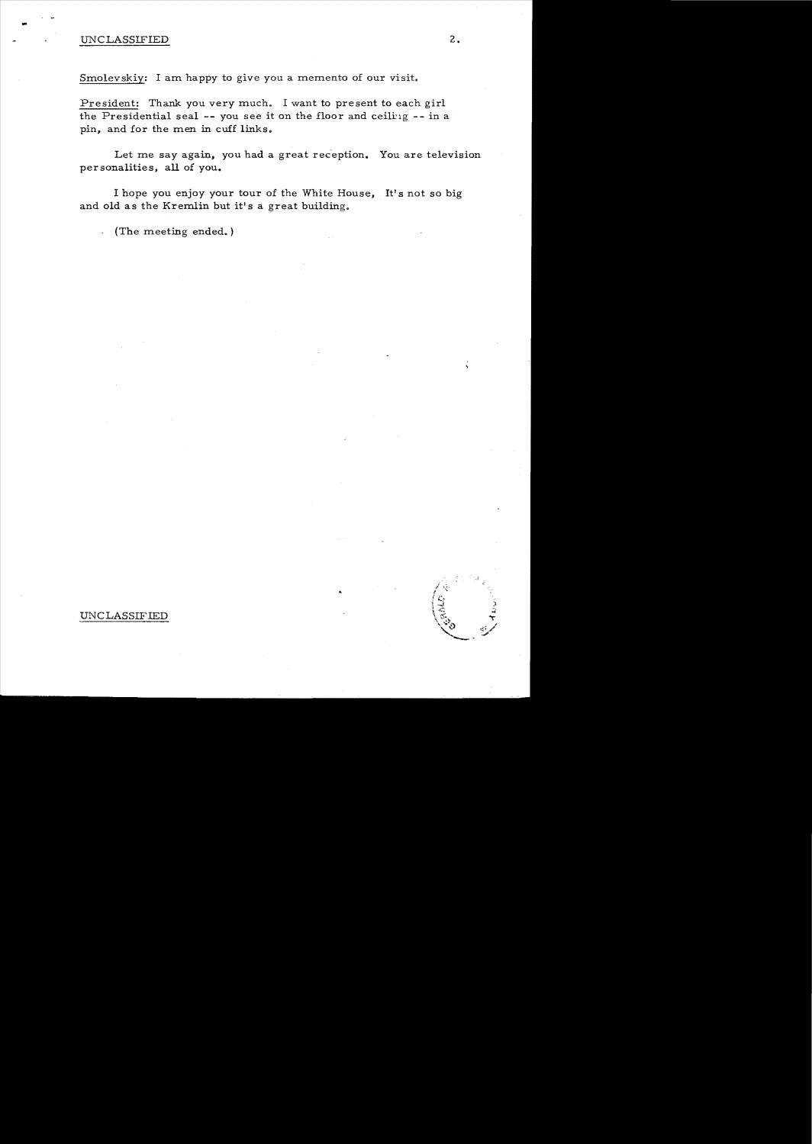# UNCLASSIFIED

..

Smolevskiy: I am happy to give you a memento of our visit.

President: Thank you very much. I want to present to each girl the Presidential seal -- you see it on the floor and ceiling -- in a pin, and for the men in cuff links.

Let me say again, you had a great reception. You are television personalities, all of you.

I hope you enjoy your tour of the White House, It's not so big and old as the Kremlin but it's a great building.

(The meeting ended.)

### UNC LASSIF IED

2.